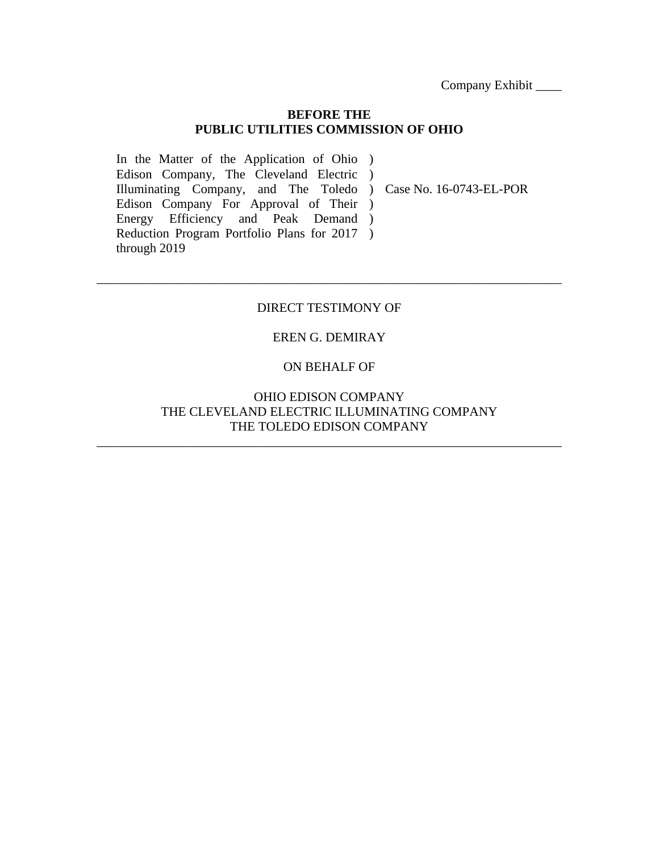#### **BEFORE THE PUBLIC UTILITIES COMMISSION OF OHIO**

In the Matter of the Application of Ohio ) Edison Company, The Cleveland Electric ) Illuminating Company, and The Toledo ) Case No. 16-0743-EL-POR Edison Company For Approval of Their ) Energy Efficiency and Peak Demand) Reduction Program Portfolio Plans for 2017 ) through 2019

### DIRECT TESTIMONY OF

\_\_\_\_\_\_\_\_\_\_\_\_\_\_\_\_\_\_\_\_\_\_\_\_\_\_\_\_\_\_\_\_\_\_\_\_\_\_\_\_\_\_\_\_\_\_\_\_\_\_\_\_\_\_\_\_\_\_\_\_\_\_\_\_\_\_\_\_\_\_\_\_

### EREN G. DEMIRAY

#### ON BEHALF OF

### OHIO EDISON COMPANY THE CLEVELAND ELECTRIC ILLUMINATING COMPANY THE TOLEDO EDISON COMPANY

\_\_\_\_\_\_\_\_\_\_\_\_\_\_\_\_\_\_\_\_\_\_\_\_\_\_\_\_\_\_\_\_\_\_\_\_\_\_\_\_\_\_\_\_\_\_\_\_\_\_\_\_\_\_\_\_\_\_\_\_\_\_\_\_\_\_\_\_\_\_\_\_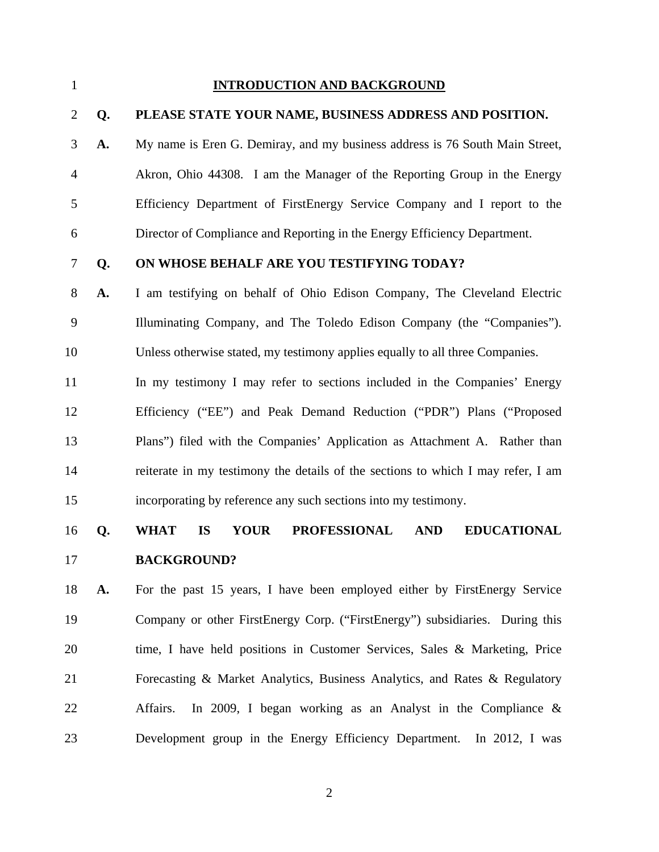#### 1 **INTRODUCTION AND BACKGROUND**

#### 2 **Q. PLEASE STATE YOUR NAME, BUSINESS ADDRESS AND POSITION.**

3 **A.** My name is Eren G. Demiray, and my business address is 76 South Main Street, 4 Akron, Ohio 44308. I am the Manager of the Reporting Group in the Energy 5 Efficiency Department of FirstEnergy Service Company and I report to the 6 Director of Compliance and Reporting in the Energy Efficiency Department.

### 7 **Q. ON WHOSE BEHALF ARE YOU TESTIFYING TODAY?**

8 **A.** I am testifying on behalf of Ohio Edison Company, The Cleveland Electric 9 Illuminating Company, and The Toledo Edison Company (the "Companies"). 10 Unless otherwise stated, my testimony applies equally to all three Companies.

11 In my testimony I may refer to sections included in the Companies' Energy 12 Efficiency ("EE") and Peak Demand Reduction ("PDR") Plans ("Proposed 13 Plans") filed with the Companies' Application as Attachment A. Rather than 14 reiterate in my testimony the details of the sections to which I may refer, I am 15 incorporating by reference any such sections into my testimony.

## 16 **Q. WHAT IS YOUR PROFESSIONAL AND EDUCATIONAL**  17 **BACKGROUND?**

18 **A.** For the past 15 years, I have been employed either by FirstEnergy Service 19 Company or other FirstEnergy Corp. ("FirstEnergy") subsidiaries. During this 20 time, I have held positions in Customer Services, Sales & Marketing, Price 21 Forecasting & Market Analytics, Business Analytics, and Rates & Regulatory 22 Affairs. In 2009, I began working as an Analyst in the Compliance & 23 Development group in the Energy Efficiency Department. In 2012, I was

2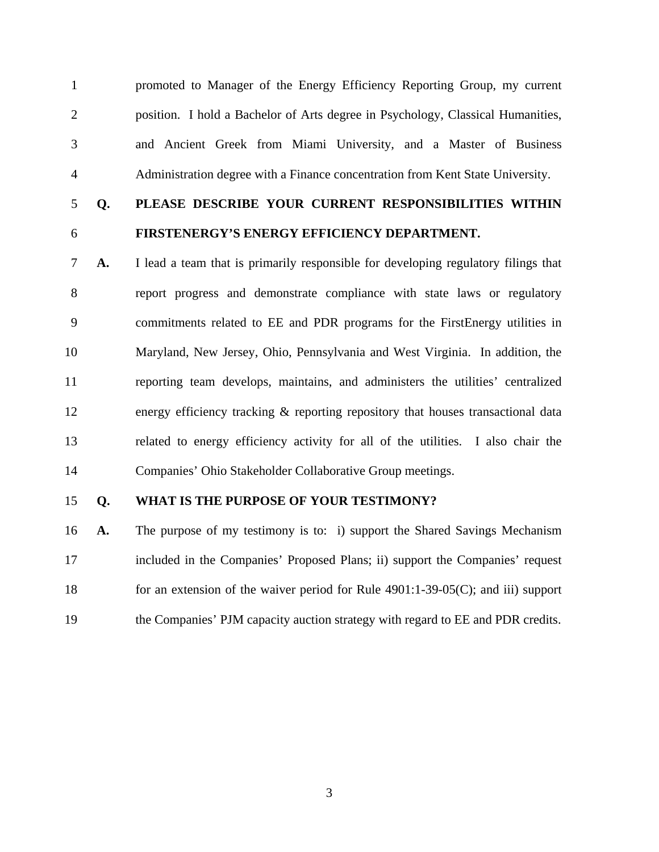1 promoted to Manager of the Energy Efficiency Reporting Group, my current 2 position. I hold a Bachelor of Arts degree in Psychology, Classical Humanities, 3 and Ancient Greek from Miami University, and a Master of Business 4 Administration degree with a Finance concentration from Kent State University.

# 5 **Q. PLEASE DESCRIBE YOUR CURRENT RESPONSIBILITIES WITHIN**  6 **FIRSTENERGY'S ENERGY EFFICIENCY DEPARTMENT.**

7 **A.** I lead a team that is primarily responsible for developing regulatory filings that 8 report progress and demonstrate compliance with state laws or regulatory 9 commitments related to EE and PDR programs for the FirstEnergy utilities in 10 Maryland, New Jersey, Ohio, Pennsylvania and West Virginia. In addition, the 11 reporting team develops, maintains, and administers the utilities' centralized 12 energy efficiency tracking & reporting repository that houses transactional data 13 related to energy efficiency activity for all of the utilities. I also chair the 14 Companies' Ohio Stakeholder Collaborative Group meetings.

### 15 **Q. WHAT IS THE PURPOSE OF YOUR TESTIMONY?**

16 **A.** The purpose of my testimony is to: i) support the Shared Savings Mechanism 17 included in the Companies' Proposed Plans; ii) support the Companies' request 18 for an extension of the waiver period for Rule 4901:1-39-05(C); and iii) support 19 the Companies' PJM capacity auction strategy with regard to EE and PDR credits.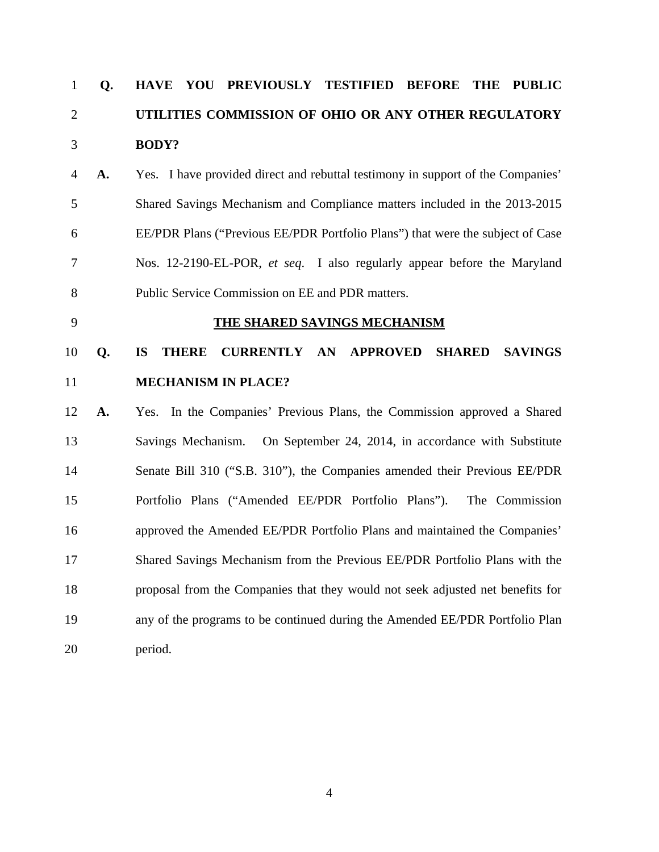# 1 **Q. HAVE YOU PREVIOUSLY TESTIFIED BEFORE THE PUBLIC**  2 **UTILITIES COMMISSION OF OHIO OR ANY OTHER REGULATORY**  3 **BODY?**

4 **A.** Yes. I have provided direct and rebuttal testimony in support of the Companies' 5 Shared Savings Mechanism and Compliance matters included in the 2013-2015 6 EE/PDR Plans ("Previous EE/PDR Portfolio Plans") that were the subject of Case 7 Nos. 12-2190-EL-POR, *et seq*. I also regularly appear before the Maryland 8 Public Service Commission on EE and PDR matters.

#### 9 **THE SHARED SAVINGS MECHANISM**

# 10 **Q. IS THERE CURRENTLY AN APPROVED SHARED SAVINGS**  11 **MECHANISM IN PLACE?**

12 **A.** Yes. In the Companies' Previous Plans, the Commission approved a Shared 13 Savings Mechanism. On September 24, 2014, in accordance with Substitute 14 Senate Bill 310 ("S.B. 310"), the Companies amended their Previous EE/PDR 15 Portfolio Plans ("Amended EE/PDR Portfolio Plans"). The Commission 16 approved the Amended EE/PDR Portfolio Plans and maintained the Companies' 17 Shared Savings Mechanism from the Previous EE/PDR Portfolio Plans with the 18 proposal from the Companies that they would not seek adjusted net benefits for 19 any of the programs to be continued during the Amended EE/PDR Portfolio Plan 20 period.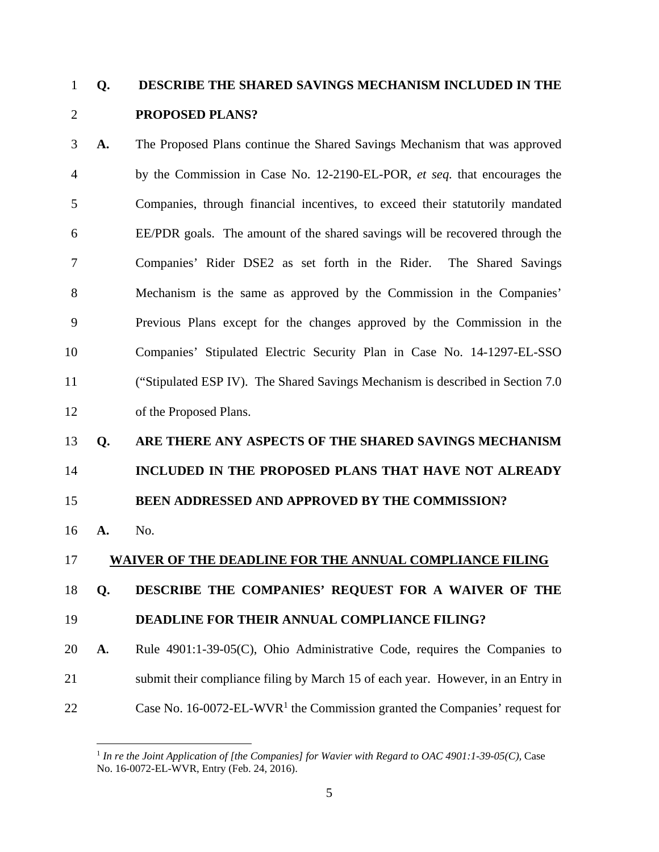# 1 **Q. DESCRIBE THE SHARED SAVINGS MECHANISM INCLUDED IN THE**  2 **PROPOSED PLANS?**

3 **A.** The Proposed Plans continue the Shared Savings Mechanism that was approved 4 by the Commission in Case No. 12-2190-EL-POR, *et seq.* that encourages the 5 Companies, through financial incentives, to exceed their statutorily mandated 6 EE/PDR goals. The amount of the shared savings will be recovered through the 7 Companies' Rider DSE2 as set forth in the Rider. The Shared Savings 8 Mechanism is the same as approved by the Commission in the Companies' 9 Previous Plans except for the changes approved by the Commission in the 10 Companies' Stipulated Electric Security Plan in Case No. 14-1297-EL-SSO 11 ("Stipulated ESP IV). The Shared Savings Mechanism is described in Section 7.0 12 of the Proposed Plans.

# 13 **Q. ARE THERE ANY ASPECTS OF THE SHARED SAVINGS MECHANISM**  14 **INCLUDED IN THE PROPOSED PLANS THAT HAVE NOT ALREADY**  15 **BEEN ADDRESSED AND APPROVED BY THE COMMISSION?**

16 **A.** No.

 $\overline{a}$ 

### 17 **WAIVER OF THE DEADLINE FOR THE ANNUAL COMPLIANCE FILING**

### 18 **Q. DESCRIBE THE COMPANIES' REQUEST FOR A WAIVER OF THE**

19 **DEADLINE FOR THEIR ANNUAL COMPLIANCE FILING?** 

20 **A.** Rule 4901:1-39-05(C), Ohio Administrative Code, requires the Companies to 21 submit their compliance filing by March 15 of each year. However, in an Entry in 22 Case No. 16-0072-EL-WVR<sup>1</sup> the Commission granted the Companies' request for

<sup>&</sup>lt;sup>1</sup> In re the Joint Application of [the Companies] for Wavier with Regard to OAC 4901:1-39-05(C), Case No. 16-0072-EL-WVR, Entry (Feb. 24, 2016).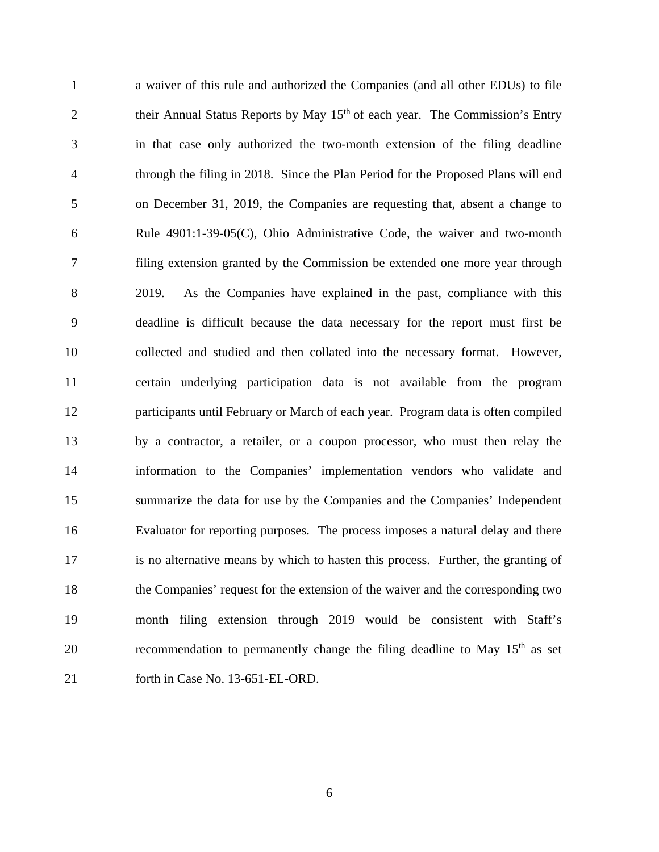1 a waiver of this rule and authorized the Companies (and all other EDUs) to file 2 their Annual Status Reports by May  $15<sup>th</sup>$  of each year. The Commission's Entry 3 in that case only authorized the two-month extension of the filing deadline 4 through the filing in 2018. Since the Plan Period for the Proposed Plans will end 5 on December 31, 2019, the Companies are requesting that, absent a change to 6 Rule 4901:1-39-05(C), Ohio Administrative Code, the waiver and two-month 7 filing extension granted by the Commission be extended one more year through 8 2019. As the Companies have explained in the past, compliance with this 9 deadline is difficult because the data necessary for the report must first be 10 collected and studied and then collated into the necessary format. However, 11 certain underlying participation data is not available from the program 12 participants until February or March of each year. Program data is often compiled 13 by a contractor, a retailer, or a coupon processor, who must then relay the 14 information to the Companies' implementation vendors who validate and 15 summarize the data for use by the Companies and the Companies' Independent 16 Evaluator for reporting purposes. The process imposes a natural delay and there 17 is no alternative means by which to hasten this process. Further, the granting of 18 the Companies' request for the extension of the waiver and the corresponding two 19 month filing extension through 2019 would be consistent with Staff's 20 recommendation to permanently change the filing deadline to May  $15<sup>th</sup>$  as set 21 forth in Case No. 13-651-EL-ORD.

6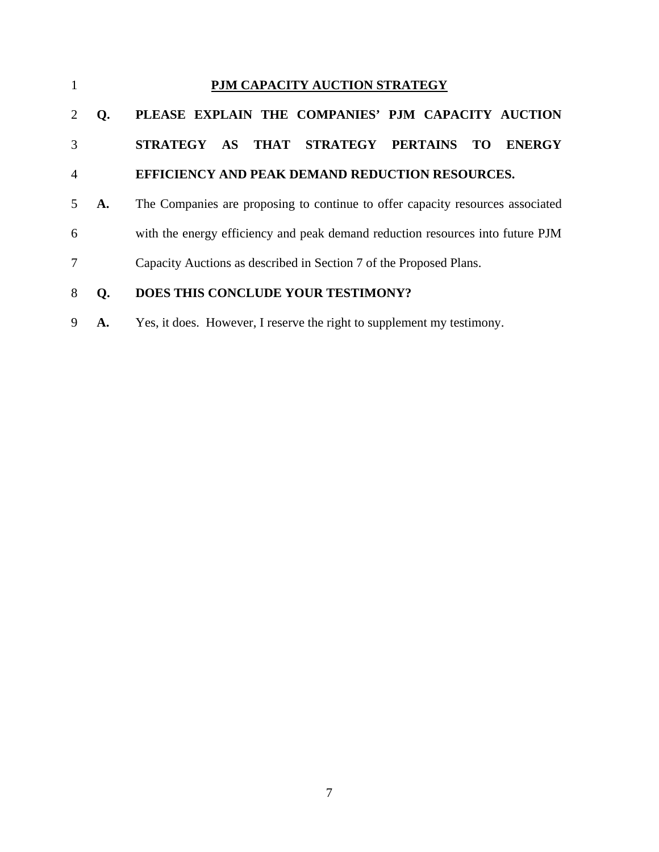| $\mathbf{1}$             |    | PJM CAPACITY AUCTION STRATEGY                                                  |
|--------------------------|----|--------------------------------------------------------------------------------|
|                          | Q. | PLEASE EXPLAIN THE COMPANIES' PJM CAPACITY AUCTION                             |
| 3                        |    | THAT STRATEGY PERTAINS<br>STRATEGY AS<br><b>ENERGY</b><br>TO.                  |
| $\overline{A}$           |    | <b>EFFICIENCY AND PEAK DEMAND REDUCTION RESOURCES.</b>                         |
| $\overline{\phantom{1}}$ | A. | The Companies are proposing to continue to offer capacity resources associated |
| 6                        |    | with the energy efficiency and peak demand reduction resources into future PJM |
| 7                        |    | Capacity Auctions as described in Section 7 of the Proposed Plans.             |
| 8                        | Q. | DOES THIS CONCLUDE YOUR TESTIMONY?                                             |
| 9                        | А. | Yes, it does. However, I reserve the right to supplement my testimony.         |